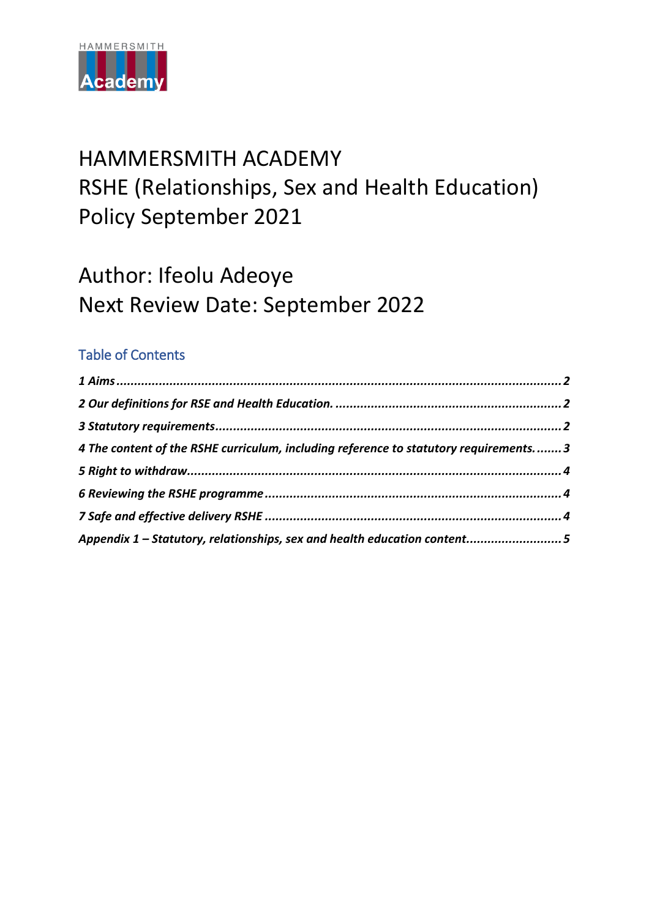

# HAMMERSMITH ACADEMY RSHE (Relationships, Sex and Health Education) Policy September 2021

# Author: Ifeolu Adeoye Next Review Date: September 2022

## Table of Contents

| 4 The content of the RSHE curriculum, including reference to statutory requirements 3 |  |
|---------------------------------------------------------------------------------------|--|
|                                                                                       |  |
|                                                                                       |  |
|                                                                                       |  |
| Appendix 1 - Statutory, relationships, sex and health education content5              |  |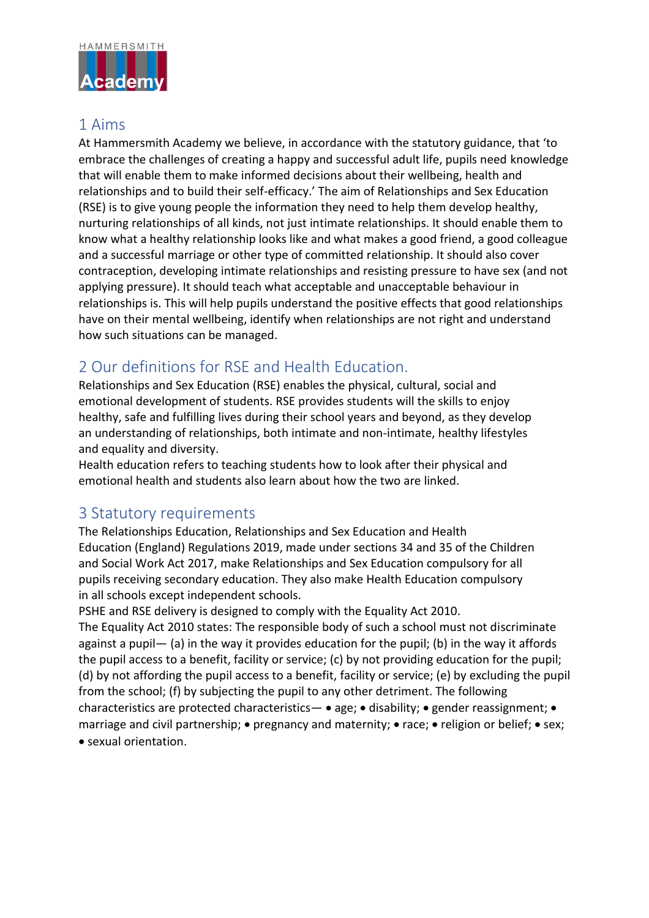

#### <span id="page-1-0"></span>1 Aims

At Hammersmith Academy we believe, in accordance with the statutory guidance, that 'to embrace the challenges of creating a happy and successful adult life, pupils need knowledge that will enable them to make informed decisions about their wellbeing, health and relationships and to build their self-efficacy.' The aim of Relationships and Sex Education (RSE) is to give young people the information they need to help them develop healthy, nurturing relationships of all kinds, not just intimate relationships. It should enable them to know what a healthy relationship looks like and what makes a good friend, a good colleague and a successful marriage or other type of committed relationship. It should also cover contraception, developing intimate relationships and resisting pressure to have sex (and not applying pressure). It should teach what acceptable and unacceptable behaviour in relationships is. This will help pupils understand the positive effects that good relationships have on their mental wellbeing, identify when relationships are not right and understand how such situations can be managed.

### <span id="page-1-1"></span>2 Our definitions for RSE and Health Education.

Relationships and Sex Education (RSE) enables the physical, cultural, social and emotional development of students. RSE provides students will the skills to enjoy healthy, safe and fulfilling lives during their school years and beyond, as they develop an understanding of relationships, both intimate and non-intimate, healthy lifestyles and equality and diversity.

Health education refers to teaching students how to look after their physical and emotional health and students also learn about how the two are linked.

#### <span id="page-1-2"></span>3 Statutory requirements

The Relationships Education, Relationships and Sex Education and Health Education (England) Regulations 2019, made under sections 34 and 35 of the Children and Social Work Act 2017, make Relationships and Sex Education compulsory for all pupils receiving secondary education. They also make Health Education compulsory in all schools except independent schools.

PSHE and RSE delivery is designed to comply with the Equality Act 2010. The Equality Act 2010 states: The responsible body of such a school must not discriminate against a pupil— (a) in the way it provides education for the pupil; (b) in the way it affords the pupil access to a benefit, facility or service; (c) by not providing education for the pupil; (d) by not affording the pupil access to a benefit, facility or service; (e) by excluding the pupil from the school; (f) by subjecting the pupil to any other detriment. The following characteristics are protected characteristics—  $\bullet$  age;  $\bullet$  disability;  $\bullet$  gender reassignment;  $\bullet$ marriage and civil partnership;  $\bullet$  pregnancy and maternity;  $\bullet$  race;  $\bullet$  religion or belief;  $\bullet$  sex; sexual orientation.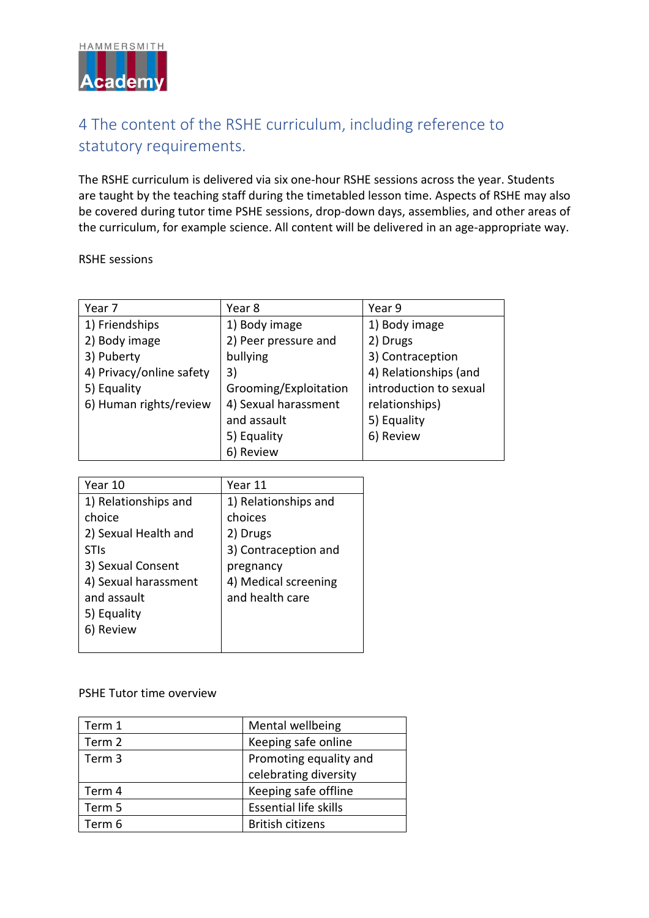

# <span id="page-2-0"></span>4 The content of the RSHE curriculum, including reference to statutory requirements.

The RSHE curriculum is delivered via six one-hour RSHE sessions across the year. Students are taught by the teaching staff during the timetabled lesson time. Aspects of RSHE may also be covered during tutor time PSHE sessions, drop-down days, assemblies, and other areas of the curriculum, for example science. All content will be delivered in an age-appropriate way.

RSHE sessions

| Year 7                   | Year 8                | Year 9                 |
|--------------------------|-----------------------|------------------------|
| 1) Friendships           | 1) Body image         | 1) Body image          |
| 2) Body image            | 2) Peer pressure and  | 2) Drugs               |
| 3) Puberty               | bullying              | 3) Contraception       |
| 4) Privacy/online safety | 3)                    | 4) Relationships (and  |
| 5) Equality              | Grooming/Exploitation | introduction to sexual |
| 6) Human rights/review   | 4) Sexual harassment  | relationships)         |
|                          | and assault           | 5) Equality            |
|                          | 5) Equality           | 6) Review              |
|                          | 6) Review             |                        |

| Year 10              | Year 11              |
|----------------------|----------------------|
| 1) Relationships and | 1) Relationships and |
| choice               | choices              |
| 2) Sexual Health and | 2) Drugs             |
| <b>STIs</b>          | 3) Contraception and |
| 3) Sexual Consent    | pregnancy            |
| 4) Sexual harassment | 4) Medical screening |
| and assault          | and health care      |
| 5) Equality          |                      |
| Review               |                      |
|                      |                      |

PSHE Tutor time overview

| Term 1 | Mental wellbeing             |
|--------|------------------------------|
| Term 2 | Keeping safe online          |
| Term 3 | Promoting equality and       |
|        | celebrating diversity        |
| Term 4 | Keeping safe offline         |
| Term 5 | <b>Essential life skills</b> |
| Term 6 | <b>British citizens</b>      |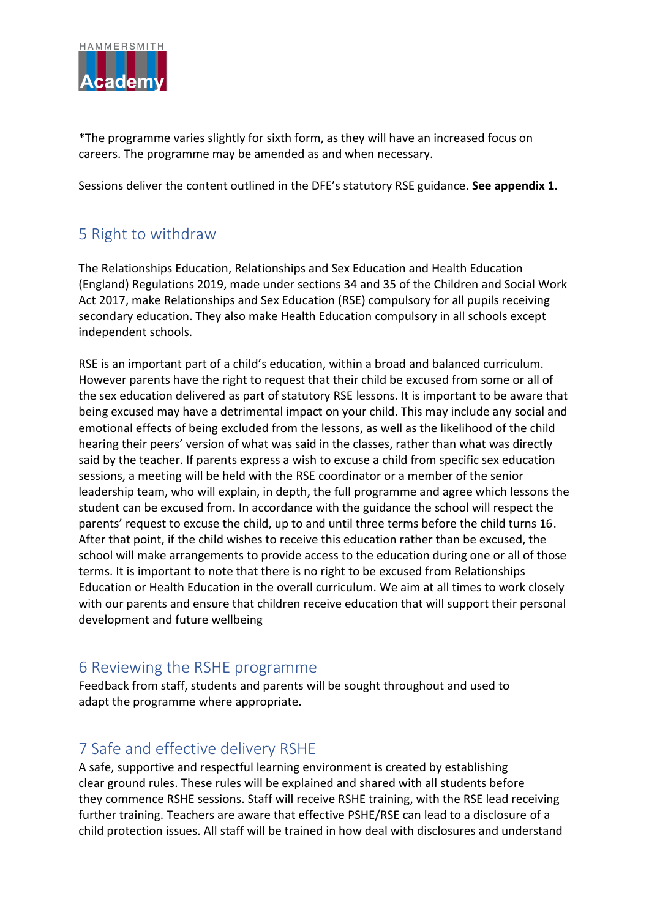

\*The programme varies slightly for sixth form, as they will have an increased focus on careers. The programme may be amended as and when necessary.

Sessions deliver the content outlined in the DFE's statutory RSE guidance. **See appendix 1.**

# <span id="page-3-0"></span>5 Right to withdraw

The Relationships Education, Relationships and Sex Education and Health Education (England) Regulations 2019, made under sections 34 and 35 of the Children and Social Work Act 2017, make Relationships and Sex Education (RSE) compulsory for all pupils receiving secondary education. They also make Health Education compulsory in all schools except independent schools.

RSE is an important part of a child's education, within a broad and balanced curriculum. However parents have the right to request that their child be excused from some or all of the sex education delivered as part of statutory RSE lessons. It is important to be aware that being excused may have a detrimental impact on your child. This may include any social and emotional effects of being excluded from the lessons, as well as the likelihood of the child hearing their peers' version of what was said in the classes, rather than what was directly said by the teacher. If parents express a wish to excuse a child from specific sex education sessions, a meeting will be held with the RSE coordinator or a member of the senior leadership team, who will explain, in depth, the full programme and agree which lessons the student can be excused from. In accordance with the guidance the school will respect the parents' request to excuse the child, up to and until three terms before the child turns 16. After that point, if the child wishes to receive this education rather than be excused, the school will make arrangements to provide access to the education during one or all of those terms. It is important to note that there is no right to be excused from Relationships Education or Health Education in the overall curriculum. We aim at all times to work closely with our parents and ensure that children receive education that will support their personal development and future wellbeing

#### <span id="page-3-1"></span>6 Reviewing the RSHE programme

Feedback from staff, students and parents will be sought throughout and used to adapt the programme where appropriate.

### <span id="page-3-2"></span>7 Safe and effective delivery RSHE

A safe, supportive and respectful learning environment is created by establishing clear ground rules. These rules will be explained and shared with all students before they commence RSHE sessions. Staff will receive RSHE training, with the RSE lead receiving further training. Teachers are aware that effective PSHE/RSE can lead to a disclosure of a child protection issues. All staff will be trained in how deal with disclosures and understand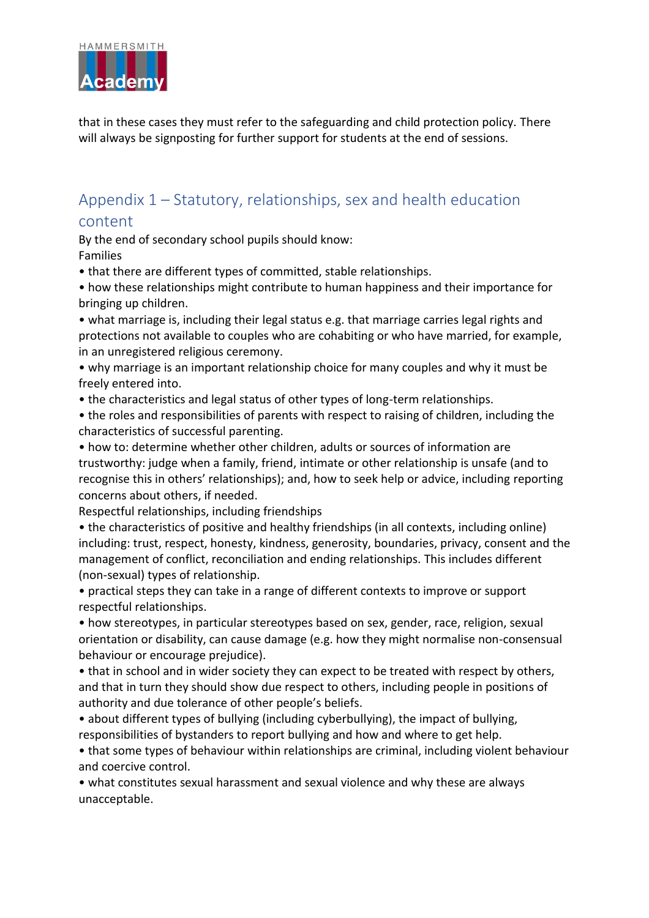

that in these cases they must refer to the safeguarding and child protection policy. There will always be signposting for further support for students at the end of sessions.

## <span id="page-4-0"></span>Appendix 1 – Statutory, relationships, sex and health education content

By the end of secondary school pupils should know:

Families

• that there are different types of committed, stable relationships.

- how these relationships might contribute to human happiness and their importance for bringing up children.
- what marriage is, including their legal status e.g. that marriage carries legal rights and protections not available to couples who are cohabiting or who have married, for example, in an unregistered religious ceremony.
- why marriage is an important relationship choice for many couples and why it must be freely entered into.
- the characteristics and legal status of other types of long-term relationships.

• the roles and responsibilities of parents with respect to raising of children, including the characteristics of successful parenting.

• how to: determine whether other children, adults or sources of information are trustworthy: judge when a family, friend, intimate or other relationship is unsafe (and to recognise this in others' relationships); and, how to seek help or advice, including reporting concerns about others, if needed.

Respectful relationships, including friendships

• the characteristics of positive and healthy friendships (in all contexts, including online) including: trust, respect, honesty, kindness, generosity, boundaries, privacy, consent and the management of conflict, reconciliation and ending relationships. This includes different (non-sexual) types of relationship.

• practical steps they can take in a range of different contexts to improve or support respectful relationships.

• how stereotypes, in particular stereotypes based on sex, gender, race, religion, sexual orientation or disability, can cause damage (e.g. how they might normalise non-consensual behaviour or encourage prejudice).

• that in school and in wider society they can expect to be treated with respect by others, and that in turn they should show due respect to others, including people in positions of authority and due tolerance of other people's beliefs.

• about different types of bullying (including cyberbullying), the impact of bullying, responsibilities of bystanders to report bullying and how and where to get help.

• that some types of behaviour within relationships are criminal, including violent behaviour and coercive control.

• what constitutes sexual harassment and sexual violence and why these are always unacceptable.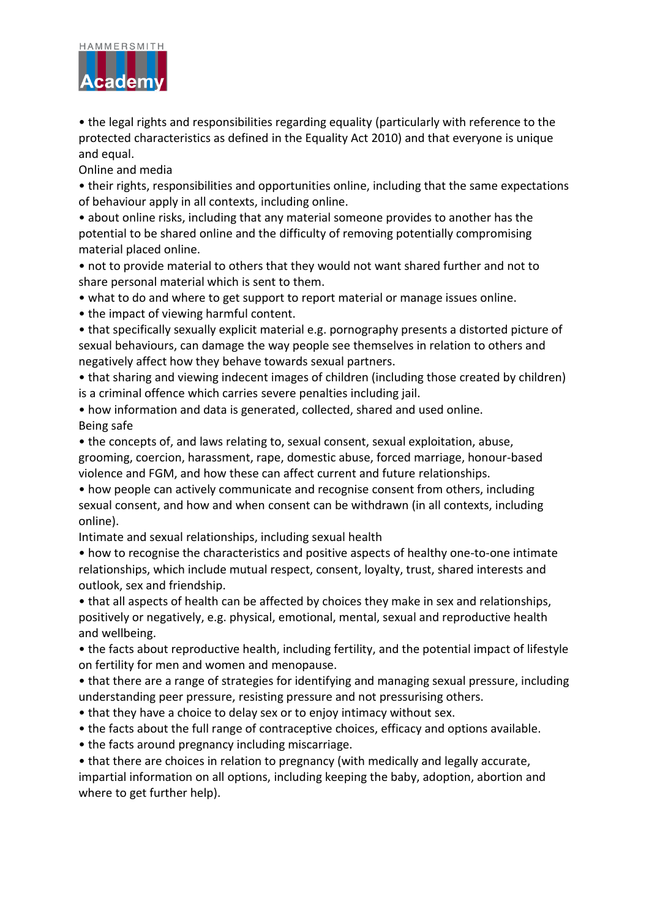

• the legal rights and responsibilities regarding equality (particularly with reference to the protected characteristics as defined in the Equality Act 2010) and that everyone is unique and equal.

Online and media

• their rights, responsibilities and opportunities online, including that the same expectations of behaviour apply in all contexts, including online.

• about online risks, including that any material someone provides to another has the potential to be shared online and the difficulty of removing potentially compromising material placed online.

• not to provide material to others that they would not want shared further and not to share personal material which is sent to them.

• what to do and where to get support to report material or manage issues online.

• the impact of viewing harmful content.

• that specifically sexually explicit material e.g. pornography presents a distorted picture of sexual behaviours, can damage the way people see themselves in relation to others and negatively affect how they behave towards sexual partners.

• that sharing and viewing indecent images of children (including those created by children) is a criminal offence which carries severe penalties including jail.

• how information and data is generated, collected, shared and used online. Being safe

• the concepts of, and laws relating to, sexual consent, sexual exploitation, abuse, grooming, coercion, harassment, rape, domestic abuse, forced marriage, honour-based violence and FGM, and how these can affect current and future relationships.

• how people can actively communicate and recognise consent from others, including sexual consent, and how and when consent can be withdrawn (in all contexts, including online).

Intimate and sexual relationships, including sexual health

• how to recognise the characteristics and positive aspects of healthy one-to-one intimate relationships, which include mutual respect, consent, loyalty, trust, shared interests and outlook, sex and friendship.

• that all aspects of health can be affected by choices they make in sex and relationships, positively or negatively, e.g. physical, emotional, mental, sexual and reproductive health and wellbeing.

• the facts about reproductive health, including fertility, and the potential impact of lifestyle on fertility for men and women and menopause.

• that there are a range of strategies for identifying and managing sexual pressure, including understanding peer pressure, resisting pressure and not pressurising others.

- that they have a choice to delay sex or to enjoy intimacy without sex.
- the facts about the full range of contraceptive choices, efficacy and options available.
- the facts around pregnancy including miscarriage.

• that there are choices in relation to pregnancy (with medically and legally accurate, impartial information on all options, including keeping the baby, adoption, abortion and where to get further help).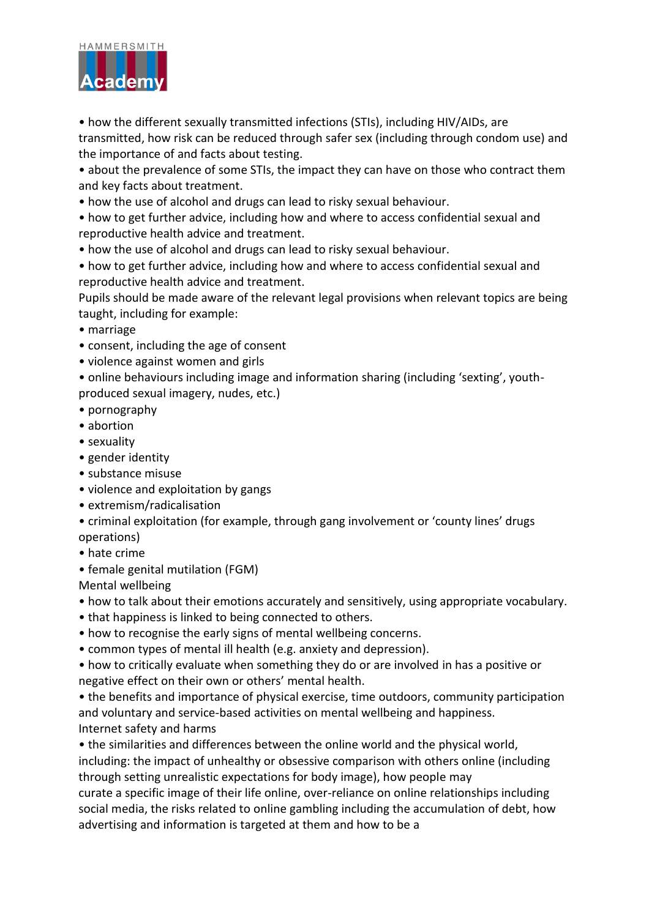

• how the different sexually transmitted infections (STIs), including HIV/AIDs, are transmitted, how risk can be reduced through safer sex (including through condom use) and the importance of and facts about testing.

• about the prevalence of some STIs, the impact they can have on those who contract them and key facts about treatment.

• how the use of alcohol and drugs can lead to risky sexual behaviour.

• how to get further advice, including how and where to access confidential sexual and reproductive health advice and treatment.

- how the use of alcohol and drugs can lead to risky sexual behaviour.
- how to get further advice, including how and where to access confidential sexual and reproductive health advice and treatment.

Pupils should be made aware of the relevant legal provisions when relevant topics are being taught, including for example:

- marriage
- consent, including the age of consent
- violence against women and girls

• online behaviours including image and information sharing (including 'sexting', youthproduced sexual imagery, nudes, etc.)

- pornography
- abortion
- sexuality
- gender identity
- substance misuse
- violence and exploitation by gangs
- extremism/radicalisation
- criminal exploitation (for example, through gang involvement or 'county lines' drugs operations)
- hate crime
- female genital mutilation (FGM)

Mental wellbeing

- how to talk about their emotions accurately and sensitively, using appropriate vocabulary.
- that happiness is linked to being connected to others.
- how to recognise the early signs of mental wellbeing concerns.
- common types of mental ill health (e.g. anxiety and depression).

• how to critically evaluate when something they do or are involved in has a positive or negative effect on their own or others' mental health.

• the benefits and importance of physical exercise, time outdoors, community participation and voluntary and service-based activities on mental wellbeing and happiness. Internet safety and harms

• the similarities and differences between the online world and the physical world, including: the impact of unhealthy or obsessive comparison with others online (including through setting unrealistic expectations for body image), how people may

curate a specific image of their life online, over-reliance on online relationships including social media, the risks related to online gambling including the accumulation of debt, how advertising and information is targeted at them and how to be a